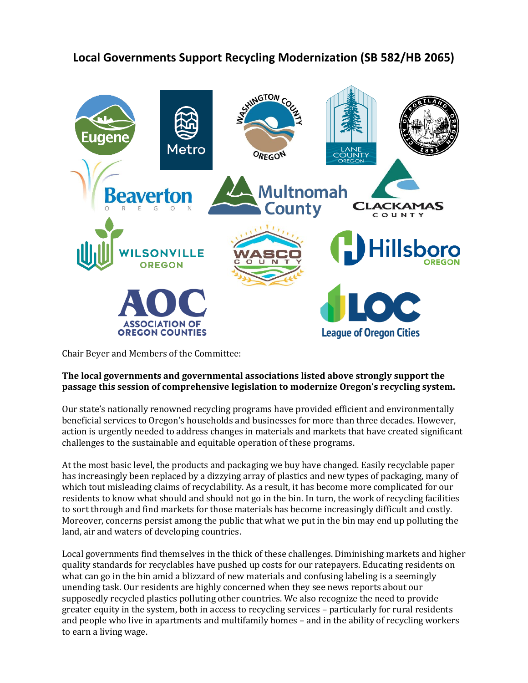

## **Local Governments Support Recycling Modernization (SB 582/HB 2065)**

Chair Beyer and Members of the Committee:

## **The local governments and governmental associations listed above strongly support the passage this session of comprehensive legislation to modernize Oregon's recycling system.**

Our state's nationally renowned recycling programs have provided efficient and environmentally beneficial services to Oregon's households and businesses for more than three decades. However, action is urgently needed to address changes in materials and markets that have created significant challenges to the sustainable and equitable operation of these programs.

At the most basic level, the products and packaging we buy have changed. Easily recyclable paper has increasingly been replaced by a dizzying array of plastics and new types of packaging, many of which tout misleading claims of recyclability. As a result, it has become more complicated for our residents to know what should and should not go in the bin. In turn, the work of recycling facilities to sort through and find markets for those materials has become increasingly difficult and costly. Moreover, concerns persist among the public that what we put in the bin may end up polluting the land, air and waters of developing countries.

Local governments find themselves in the thick of these challenges. Diminishing markets and higher quality standards for recyclables have pushed up costs for our ratepayers. Educating residents on what can go in the bin amid a blizzard of new materials and confusing labeling is a seemingly unending task. Our residents are highly concerned when they see news reports about our supposedly recycled plastics polluting other countries. We also recognize the need to provide greater equity in the system, both in access to recycling services – particularly for rural residents and people who live in apartments and multifamily homes – and in the ability of recycling workers to earn a living wage.